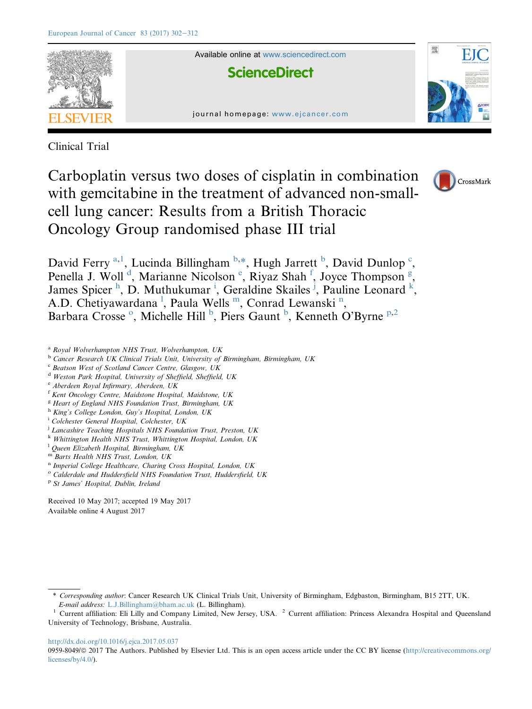

Clinical Trial

Carboplatin versus two doses of cisplatin in combination with gemcitabine in the treatment of advanced non-smallcell lung cancer: Results from a British Thoracic Oncology Group randomised phase III trial



David Ferry <sup>a,1</sup>, Lucinda Billingham <sup>b,\*</sup>, Hugh Jarrett <sup>b</sup>, David Dunlop <sup>c</sup>, Penella J. Woll<sup>d</sup>, Marianne Nicolson<sup>e</sup>, Riyaz Shah<sup>f</sup>, Joyce Thompson<sup>g</sup>, James Spicer<sup>h</sup>, D. Muthukumar<sup>i</sup>, Geraldine Skailes<sup>j</sup>, Pauline Leonard<sup>k</sup>, A.D. Chetiyawardana<sup>1</sup>, Paula Wells<sup>m</sup>, Conrad Lewanski<sup>n</sup>, Barbara Crosse<sup>o</sup>, Michelle Hill<sup>b</sup>, Piers Gaunt<sup>b</sup>, Kenneth O'Byrne<sup>p,2</sup>

<sup>a</sup> Royal Wolverhampton NHS Trust, Wolverhampton, UK

**b** Cancer Research UK Clinical Trials Unit, University of Birmingham, Birmingham, UK

<sup>c</sup> Beatson West of Scotland Cancer Centre, Glasgow, UK

- <sup>d</sup> Weston Park Hospital, University of Sheffield, Sheffield, UK
- <sup>e</sup> Aberdeen Royal Infirmary, Aberdeen, UK
- <sup>f</sup> Kent Oncology Centre, Maidstone Hospital, Maidstone, UK
- $E$ <sup>g</sup> Heart of England NHS Foundation Trust, Birmingham, UK
- <sup>h</sup> King's College London, Guy's Hospital, London, UK
- <sup>i</sup> Colchester General Hospital, Colchester, UK
- <sup>i</sup> Lancashire Teaching Hospitals NHS Foundation Trust, Preston, UK
- <sup>k</sup> Whittington Health NHS Trust, Whittington Hospital, London, UK
- <sup>1</sup> Queen Elizabeth Hospital, Birmingham, UK
- <sup>m</sup> Barts Health NHS Trust, London, UK
- <sup>n</sup> Imperial College Healthcare, Charing Cross Hospital, London, UK
- $^{\circ}$  Calderdale and Huddersfield NHS Foundation Trust, Huddersfield, UK
- <sup>p</sup> St James' Hospital, Dublin, Ireland

Received 10 May 2017; accepted 19 May 2017 Available online 4 August 2017

<http://dx.doi.org/10.1016/j.ejca.2017.05.037>

<sup>\*</sup> Corresponding author: Cancer Research UK Clinical Trials Unit, University of Birmingham, Edgbaston, Birmingham, B15 2TT, UK. E-mail address: [L.J.Billingham@bham.ac.uk](mailto:L.J.Billingham@bham.ac.uk) (L. Billingham).<br><sup>1</sup> Current affiliation: Eli Lilly and Company Limited, New Jersey, USA. <sup>2</sup> Current affiliation: Princess Alexandra Hospital and Queensland

University of Technology, Brisbane, Australia.

<sup>0959-8049/@ 2017</sup> The Authors. Published by Elsevier Ltd. This is an open access article under the CC BY license [\(http://creativecommons.org/](http://creativecommons.org/licenses/by/4.0/) [licenses/by/4.0/](http://creativecommons.org/licenses/by/4.0/)).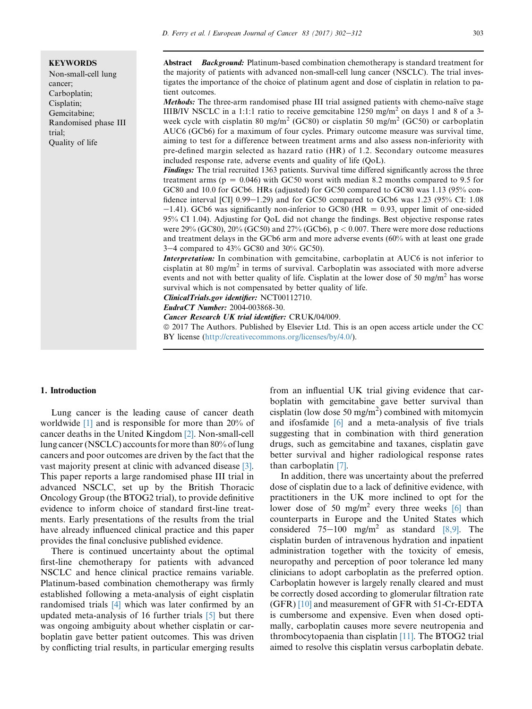#### **KEYWORDS**

Non-small-cell lung cancer; Carboplatin; Cisplatin; Gemcitabine; Randomised phase III trial; Quality of life

Abstract Background: Platinum-based combination chemotherapy is standard treatment for the majority of patients with advanced non-small-cell lung cancer (NSCLC). The trial investigates the importance of the choice of platinum agent and dose of cisplatin in relation to patient outcomes.

Methods: The three-arm randomised phase III trial assigned patients with chemo-naïve stage IIIB/IV NSCLC in a 1:1:1 ratio to receive gemcitabine  $1250 \text{ mg/m}^2$  on days 1 and 8 of a 3week cycle with cisplatin 80 mg/m<sup>2</sup> (GC80) or cisplatin 50 mg/m<sup>2</sup> (GC50) or carboplatin AUC6 (GCb6) for a maximum of four cycles. Primary outcome measure was survival time, aiming to test for a difference between treatment arms and also assess non-inferiority with pre-defined margin selected as hazard ratio (HR) of 1.2. Secondary outcome measures included response rate, adverse events and quality of life (QoL).

Findings: The trial recruited 1363 patients. Survival time differed significantly across the three treatment arms ( $p = 0.046$ ) with GC50 worst with median 8.2 months compared to 9.5 for GC80 and 10.0 for GCb6. HRs (adjusted) for GC50 compared to GC80 was 1.13 (95% confidence interval [CI]  $0.99-1.29$ ) and for GC50 compared to GCb6 was 1.23 (95% CI: 1.08  $-1.41$ ). GCb6 was significantly non-inferior to GC80 (HR = 0.93, upper limit of one-sided 95% CI 1.04). Adjusting for QoL did not change the findings. Best objective response rates were 29% (GC80), 20% (GC50) and 27% (GCb6),  $p < 0.007$ . There were more dose reductions and treatment delays in the GCb6 arm and more adverse events (60% with at least one grade 3-4 compared to 43% GC80 and 30% GC50).

Interpretation: In combination with gemcitabine, carboplatin at AUC6 is not inferior to cisplatin at 80 mg/m<sup>2</sup> in terms of survival. Carboplatin was associated with more adverse events and not with better quality of life. Cisplatin at the lower dose of 50 mg/m<sup>2</sup> has worse survival which is not compensated by better quality of life.

ClinicalTrials.gov identifier: NCT00112710.

EudraCT Number: 2004-003868-30.

Cancer Research UK trial identifier: CRUK/04/009.

ª 2017 The Authors. Published by Elsevier Ltd. This is an open access article under the CC BY license (<http://creativecommons.org/licenses/by/4.0/>).

#### 1. Introduction

Lung cancer is the leading cause of cancer death worldwide [\[1\]](#page-9-0) and is responsible for more than 20% of cancer deaths in the United Kingdom [\[2\].](#page-9-0) Non-small-cell lung cancer (NSCLC) accounts for more than 80% of lung cancers and poor outcomes are driven by the fact that the vast majority present at clinic with advanced disease [\[3\].](#page-9-0) This paper reports a large randomised phase III trial in advanced NSCLC, set up by the British Thoracic Oncology Group (the BTOG2 trial), to provide definitive evidence to inform choice of standard first-line treatments. Early presentations of the results from the trial have already influenced clinical practice and this paper provides the final conclusive published evidence.

There is continued uncertainty about the optimal first-line chemotherapy for patients with advanced NSCLC and hence clinical practice remains variable. Platinum-based combination chemotherapy was firmly established following a meta-analysis of eight cisplatin randomised trials [\[4\]](#page-9-0) which was later confirmed by an updated meta-analysis of 16 further trials [\[5\]](#page-9-0) but there was ongoing ambiguity about whether cisplatin or carboplatin gave better patient outcomes. This was driven by conflicting trial results, in particular emerging results from an influential UK trial giving evidence that carboplatin with gemcitabine gave better survival than cisplatin (low dose 50 mg/m<sup>2</sup> ) combined with mitomycin and ifosfamide [\[6\]](#page-9-0) and a meta-analysis of five trials suggesting that in combination with third generation drugs, such as gemcitabine and taxanes, cisplatin gave better survival and higher radiological response rates than carboplatin [\[7\].](#page-9-0)

In addition, there was uncertainty about the preferred dose of cisplatin due to a lack of definitive evidence, with practitioners in the UK more inclined to opt for the lower dose of 50 mg/m<sup>2</sup> every three weeks  $[6]$  than counterparts in Europe and the United States which considered  $75-100$  mg/m<sup>2</sup> as standard [\[8,9\].](#page-9-0) The cisplatin burden of intravenous hydration and inpatient administration together with the toxicity of emesis, neuropathy and perception of poor tolerance led many clinicians to adopt carboplatin as the preferred option. Carboplatin however is largely renally cleared and must be correctly dosed according to glomerular filtration rate (GFR) [\[10\]](#page-9-0) and measurement of GFR with 51-Cr-EDTA is cumbersome and expensive. Even when dosed optimally, carboplatin causes more severe neutropenia and thrombocytopaenia than cisplatin [\[11\].](#page-9-0) The BTOG2 trial aimed to resolve this cisplatin versus carboplatin debate.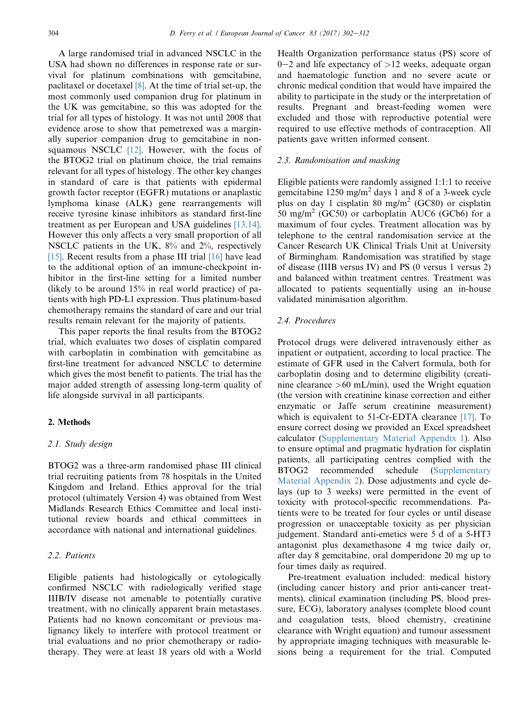A large randomised trial in advanced NSCLC in the USA had shown no differences in response rate or survival for platinum combinations with gemcitabine, paclitaxel or docetaxel  $[8]$ . At the time of trial set-up, the most commonly used companion drug for platinum in the UK was gemcitabine, so this was adopted for the trial for all types of histology. It was not until 2008 that evidence arose to show that pemetrexed was a marginally superior companion drug to gemcitabine in nonsquamous NSCLC  $[12]$ . However, with the focus of the BTOG2 trial on platinum choice, the trial remains relevant for all types of histology. The other key changes in standard of care is that patients with epidermal growth factor receptor (EGFR) mutations or anaplastic lymphoma kinase (ALK) gene rearrangements will receive tyrosine kinase inhibitors as standard first-line treatment as per European and USA guidelines [\[13,14\]](#page-9-0). However this only affects a very small proportion of all NSCLC patients in the UK, 8% and 2%, respectively [\[15\]](#page-9-0). Recent results from a phase III trial [\[16\]](#page-9-0) have lead to the additional option of an immune-checkpoint inhibitor in the first-line setting for a limited number (likely to be around 15% in real world practice) of patients with high PD-L1 expression. Thus platinum-based chemotherapy remains the standard of care and our trial results remain relevant for the majority of patients.

This paper reports the final results from the BTOG2 trial, which evaluates two doses of cisplatin compared with carboplatin in combination with gemcitabine as first-line treatment for advanced NSCLC to determine which gives the most benefit to patients. The trial has the major added strength of assessing long-term quality of life alongside survival in all participants.

#### 2. Methods

#### 2.1. Study design

BTOG2 was a three-arm randomised phase III clinical trial recruiting patients from 78 hospitals in the United Kingdom and Ireland. Ethics approval for the trial protocol (ultimately Version 4) was obtained from West Midlands Research Ethics Committee and local institutional review boards and ethical committees in accordance with national and international guidelines.

## 2.2. Patients

Eligible patients had histologically or cytologically confirmed NSCLC with radiologically verified stage IIIB/IV disease not amenable to potentially curative treatment, with no clinically apparent brain metastases. Patients had no known concomitant or previous malignancy likely to interfere with protocol treatment or trial evaluations and no prior chemotherapy or radiotherapy. They were at least 18 years old with a World

Health Organization performance status (PS) score of  $0-2$  and life expectancy of  $>12$  weeks, adequate organ and haematologic function and no severe acute or chronic medical condition that would have impaired the ability to participate in the study or the interpretation of results. Pregnant and breast-feeding women were excluded and those with reproductive potential were required to use effective methods of contraception. All patients gave written informed consent.

### 2.3. Randomisation and masking

Eligible patients were randomly assigned 1:1:1 to receive gemcitabine  $1250 \text{ mg/m}^2$  days 1 and 8 of a 3-week cycle plus on day 1 cisplatin 80 mg/m<sup>2</sup> (GC80) or cisplatin 50 mg/m2 (GC50) or carboplatin AUC6 (GCb6) for a maximum of four cycles. Treatment allocation was by telephone to the central randomisation service at the Cancer Research UK Clinical Trials Unit at University of Birmingham. Randomisation was stratified by stage of disease (IIIB versus IV) and PS (0 versus 1 versus 2) and balanced within treatment centres. Treatment was allocated to patients sequentially using an in-house validated minimisation algorithm.

### 2.4. Procedures

Protocol drugs were delivered intravenously either as inpatient or outpatient, according to local practice. The estimate of GFR used in the Calvert formula, both for carboplatin dosing and to determine eligibility (creatinine clearance  $>60$  mL/min), used the Wright equation (the version with creatinine kinase correction and either enzymatic or Jaffe serum creatinine measurement) which is equivalent to 51-Cr-EDTA clearance [\[17\]](#page-9-0). To ensure correct dosing we provided an Excel spreadsheet calculator (Supplementary Material Appendix 1). Also to ensure optimal and pragmatic hydration for cisplatin patients, all participating centres complied with the BTOG2 recommended schedule (Supplementary Material Appendix 2). Dose adjustments and cycle delays (up to 3 weeks) were permitted in the event of toxicity with protocol-specific recommendations. Patients were to be treated for four cycles or until disease progression or unacceptable toxicity as per physician judgement. Standard anti-emetics were 5 d of a 5-HT3 antagonist plus dexamethasone 4 mg twice daily or, after day 8 gemcitabine, oral domperidone 20 mg up to four times daily as required.

Pre-treatment evaluation included: medical history (including cancer history and prior anti-cancer treatments), clinical examination (including PS, blood pressure, ECG), laboratory analyses (complete blood count and coagulation tests, blood chemistry, creatinine clearance with Wright equation) and tumour assessment by appropriate imaging techniques with measurable lesions being a requirement for the trial. Computed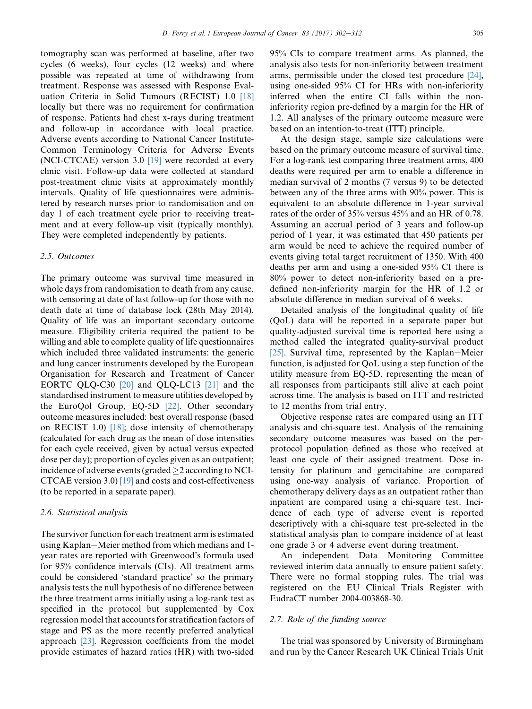tomography scan was performed at baseline, after two cycles (6 weeks), four cycles (12 weeks) and where possible was repeated at time of withdrawing from treatment. Response was assessed with Response Evaluation Criteria in Solid Tumours (RECIST) 1.0 [\[18\]](#page-9-0) locally but there was no requirement for confirmation of response. Patients had chest x-rays during treatment and follow-up in accordance with local practice. Adverse events according to National Cancer Institute-Common Terminology Criteria for Adverse Events (NCI-CTCAE) version 3.0  $[19]$  were recorded at every clinic visit. Follow-up data were collected at standard post-treatment clinic visits at approximately monthly intervals. Quality of life questionnaires were administered by research nurses prior to randomisation and on day 1 of each treatment cycle prior to receiving treatment and at every follow-up visit (typically monthly). They were completed independently by patients.

### 2.5. Outcomes

The primary outcome was survival time measured in whole days from randomisation to death from any cause, with censoring at date of last follow-up for those with no death date at time of database lock (28th May 2014). Quality of life was an important secondary outcome measure. Eligibility criteria required the patient to be willing and able to complete quality of life questionnaires which included three validated instruments: the generic and lung cancer instruments developed by the European Organisation for Research and Treatment of Cancer EORTC QLQ-C30 [\[20\]](#page-9-0) and QLQ-LC13 [\[21\]](#page-9-0) and the standardised instrument to measure utilities developed by the EuroQol Group, EQ-5D [\[22\].](#page-9-0) Other secondary outcome measures included: best overall response (based on RECIST 1.0) [\[18\];](#page-9-0) dose intensity of chemotherapy (calculated for each drug as the mean of dose intensities for each cycle received, given by actual versus expected dose per day); proportion of cycles given as an outpatient; incidence of adverse events (graded  $\geq$  2 according to NCI-CTCAE version 3.0)  $[19]$  and costs and cost-effectiveness (to be reported in a separate paper).

#### 2.6. Statistical analysis

The survivor function for each treatment arm is estimated using Kaplan–Meier method from which medians and 1year rates are reported with Greenwood's formula used for 95% confidence intervals (CIs). All treatment arms could be considered 'standard practice' so the primary analysis tests the null hypothesis of no difference between the three treatment arms initially using a log-rank test as specified in the protocol but supplemented by Cox regression model that accounts for stratification factors of stage and PS as the more recently preferred analytical approach [\[23\]](#page-9-0). Regression coefficients from the model provide estimates of hazard ratios (HR) with two-sided 95% CIs to compare treatment arms. As planned, the analysis also tests for non-inferiority between treatment arms, permissible under the closed test procedure [\[24\],](#page-9-0) using one-sided 95% CI for HRs with non-inferiority inferred when the entire CI falls within the noninferiority region pre-defined by a margin for the HR of 1.2. All analyses of the primary outcome measure were based on an intention-to-treat (ITT) principle.

At the design stage, sample size calculations were based on the primary outcome measure of survival time. For a log-rank test comparing three treatment arms, 400 deaths were required per arm to enable a difference in median survival of 2 months (7 versus 9) to be detected between any of the three arms with 90% power. This is equivalent to an absolute difference in 1-year survival rates of the order of 35% versus 45% and an HR of 0.78. Assuming an accrual period of 3 years and follow-up period of 1 year, it was estimated that 450 patients per arm would be need to achieve the required number of events giving total target recruitment of 1350. With 400 deaths per arm and using a one-sided 95% CI there is 80% power to detect non-inferiority based on a predefined non-inferiority margin for the HR of 1.2 or absolute difference in median survival of 6 weeks.

Detailed analysis of the longitudinal quality of life (QoL) data will be reported in a separate paper but quality-adjusted survival time is reported here using a method called the integrated quality-survival product [\[25\].](#page-9-0) Survival time, represented by the Kaplan–Meier function, is adjusted for QoL using a step function of the utility measure from EQ-5D, representing the mean of all responses from participants still alive at each point across time. The analysis is based on ITT and restricted to 12 months from trial entry.

Objective response rates are compared using an ITT analysis and chi-square test. Analysis of the remaining secondary outcome measures was based on the perprotocol population defined as those who received at least one cycle of their assigned treatment. Dose intensity for platinum and gemcitabine are compared using one-way analysis of variance. Proportion of chemotherapy delivery days as an outpatient rather than inpatient are compared using a chi-square test. Incidence of each type of adverse event is reported descriptively with a chi-square test pre-selected in the statistical analysis plan to compare incidence of at least one grade 3 or 4 adverse event during treatment.

An independent Data Monitoring Committee reviewed interim data annually to ensure patient safety. There were no formal stopping rules. The trial was registered on the EU Clinical Trials Register with EudraCT number 2004-003868-30.

### 2.7. Role of the funding source

The trial was sponsored by University of Birmingham and run by the Cancer Research UK Clinical Trials Unit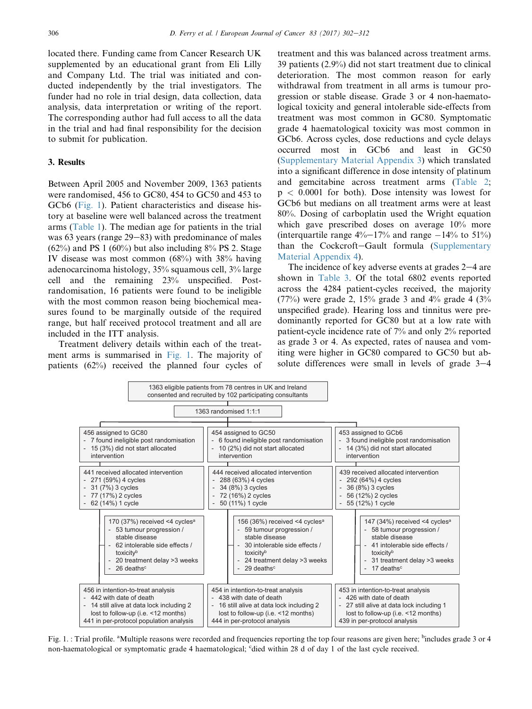located there. Funding came from Cancer Research UK supplemented by an educational grant from Eli Lilly and Company Ltd. The trial was initiated and conducted independently by the trial investigators. The funder had no role in trial design, data collection, data analysis, data interpretation or writing of the report. The corresponding author had full access to all the data in the trial and had final responsibility for the decision to submit for publication.

### 3. Results

Between April 2005 and November 2009, 1363 patients were randomised, 456 to GC80, 454 to GC50 and 453 to GCb6 (Fig. 1). Patient characteristics and disease history at baseline were well balanced across the treatment arms [\(Table 1\)](#page-5-0). The median age for patients in the trial was 63 years (range  $29-83$ ) with predominance of males  $(62%)$  and PS 1 (60%) but also including 8% PS 2. Stage IV disease was most common (68%) with 38% having adenocarcinoma histology, 35% squamous cell, 3% large cell and the remaining 23% unspecified. Postrandomisation, 16 patients were found to be ineligible with the most common reason being biochemical measures found to be marginally outside of the required range, but half received protocol treatment and all are included in the ITT analysis.

Treatment delivery details within each of the treatment arms is summarised in Fig. 1. The majority of patients (62%) received the planned four cycles of treatment and this was balanced across treatment arms. 39 patients (2.9%) did not start treatment due to clinical deterioration. The most common reason for early withdrawal from treatment in all arms is tumour progression or stable disease. Grade 3 or 4 non-haematological toxicity and general intolerable side-effects from treatment was most common in GC80. Symptomatic grade 4 haematological toxicity was most common in GCb6. Across cycles, dose reductions and cycle delays occurred most in GCb6 and least in GC50 (Supplementary Material Appendix 3) which translated into a significant difference in dose intensity of platinum and gemcitabine across treatment arms ([Table 2](#page-5-0);  $p < 0.0001$  for both). Dose intensity was lowest for GCb6 but medians on all treatment arms were at least 80%. Dosing of carboplatin used the Wright equation which gave prescribed doses on average 10% more (interquartile range  $4\%$  –17% and range  $-14\%$  to 51%) than the Cockcroft-Gault formula (Supplementary Material Appendix 4).

The incidence of key adverse events at grades  $2-4$  are shown in [Table 3.](#page-6-0) Of the total 6802 events reported across the 4284 patient-cycles received, the majority (77%) were grade 2, 15% grade 3 and 4% grade 4 (3%) unspecified grade). Hearing loss and tinnitus were predominantly reported for GC80 but at a low rate with patient-cycle incidence rate of 7% and only 2% reported as grade 3 or 4. As expected, rates of nausea and vomiting were higher in GC80 compared to GC50 but absolute differences were small in levels of grade  $3-4$ 



Fig. 1. : Trial profile. <sup>a</sup>Multiple reasons were recorded and frequencies reporting the top four reasons are given here; <sup>b</sup>includes grade 3 or 4 non-haematological or symptomatic grade 4 haematological; 'died within 28 d of day 1 of the last cycle received.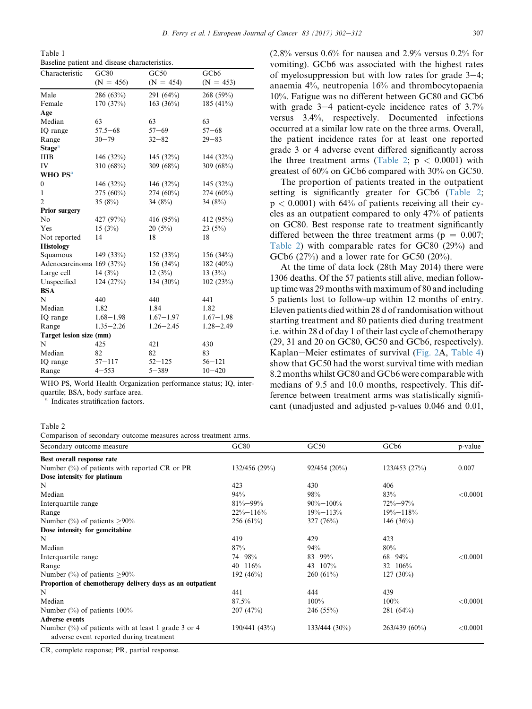<span id="page-5-0"></span>Table 1 Baseline patient and disease characteristics.

| Characteristic            | GC80          | GC50          | GC <sub>b6</sub> |
|---------------------------|---------------|---------------|------------------|
|                           | $(N = 456)$   | $(N = 454)$   | $(N = 453)$      |
| Male                      | 286(63%)      | 291 (64%)     | 268 (59%)        |
| Female                    | 170(37%)      | 163 $(36%)$   | 185 (41%)        |
| Age                       |               |               |                  |
| Median                    | 63            | 63            | 63               |
| IQ range                  | $57.5 - 68$   | $57 - 69$     | $57 - 68$        |
| Range                     | $30 - 79$     | $32 - 82$     | $29 - 83$        |
| <b>Stage</b> <sup>a</sup> |               |               |                  |
| <b>IIIB</b>               | 146 $(32%)$   | 145 $(32%)$   | 144 (32%)        |
| IV                        | 310 $(68%)$   | 309 (68%)     | 309 (68%)        |
| WHO PS <sup>a</sup>       |               |               |                  |
| $\overline{0}$            | 146 (32%)     | 146 $(32%)$   | 145 (32%)        |
| $\mathbf{1}$              | 275 (60%)     | 274 $(60\%)$  | 274 (60%)        |
| $\overline{2}$            | 35 $(8%)$     | 34 $(8%)$     | 34 $(8%)$        |
| Prior surgery             |               |               |                  |
| No                        | 427 (97%)     | 416 (95%)     | 412 (95%)        |
| Yes                       | 15(3%)        | 20(5%)        | 23(5%)           |
| Not reported              | 14            | 18            | 18               |
| <b>Histology</b>          |               |               |                  |
| Squamous                  | 149 $(33%)$   | 152(33%)      | 156(34%)         |
| Adenocarcinoma 169 (37%)  |               | 156 $(34%)$   | 182 (40%)        |
| Large cell                | 14 $(3%)$     | 12(3%)        | 13 $(3%)$        |
| Unspecified               | 124 (27%)     | 134 (30%)     | 102 (23%)        |
| <b>BSA</b>                |               |               |                  |
| N                         | 440           | 440           | 441              |
| Median                    | 1.82          | 1.84          | 1.82             |
| IQ range                  | $1.68 - 1.98$ | $1.67 - 1.97$ | $1.67 - 1.98$    |
| Range                     | $1.35 - 2.26$ | $1.26 - 2.45$ | $1.28 - 2.49$    |
| Target lesion size (mm)   |               |               |                  |
| N                         | 425           | 421           | 430              |
| Median                    | 82            | 82            | 83               |
| IQ range                  | $57 - 117$    | $52 - 125$    | $56 - 121$       |
| Range                     | $4 - 553$     | $5 - 389$     | $10 - 420$       |

WHO PS, World Health Organization performance status; IQ, interquartile; BSA, body surface area.

<sup>a</sup> Indicates stratification factors.

| anie |  |
|------|--|
|------|--|

Comparison of secondary outcome measures across treatment arms.

 $(2.8\%$  versus 0.6% for nausea and 2.9% versus 0.2% for vomiting). GCb6 was associated with the highest rates of myelosuppression but with low rates for grade  $3-4$ ; anaemia 4%, neutropenia 16% and thrombocytopaenia 10%. Fatigue was no different between GC80 and GCb6 with grade  $3-4$  patient-cycle incidence rates of  $3.7%$ versus 3.4%, respectively. Documented infections occurred at a similar low rate on the three arms. Overall, the patient incidence rates for at least one reported grade 3 or 4 adverse event differed significantly across the three treatment arms (Table 2;  $p < 0.0001$ ) with

greatest of 60% on GCb6 compared with 30% on GC50. The proportion of patients treated in the outpatient setting is significantly greater for GCb6 (Table 2;  $p < 0.0001$ ) with 64% of patients receiving all their cycles as an outpatient compared to only 47% of patients on GC80. Best response rate to treatment significantly differed between the three treatment arms ( $p = 0.007$ ; Table 2) with comparable rates for GC80 (29%) and GCb6 (27%) and a lower rate for GC50 (20%).

At the time of data lock (28th May 2014) there were 1306 deaths. Of the 57 patients still alive, median followup time was 29 months with maximum of 80 and including 5 patients lost to follow-up within 12 months of entry. Eleven patients died within 28 d of randomisation without starting treatment and 80 patients died during treatment i.e. within 28 d of day 1 of their last cycle of chemotherapy (29, 31 and 20 on GC80, GC50 and GCb6, respectively). Kaplan–Meier estimates of survival ([Fig. 2](#page-6-0)A, [Table 4](#page-7-0)) show that GC50 had the worst survival time with median 8.2 months whilst GC80 and GCb6 were comparable with medians of 9.5 and 10.0 months, respectively. This difference between treatment arms was statistically significant (unadjusted and adjusted p-values 0.046 and 0.01,

| Secondary outcome measure                                                                                | GC80           | GC50            | GC <sub>b6</sub> | p-value     |
|----------------------------------------------------------------------------------------------------------|----------------|-----------------|------------------|-------------|
| Best overall response rate                                                                               |                |                 |                  |             |
| Number $\frac{1}{2}$ of patients with reported CR or PR                                                  | 132/456 (29%)  | 92/454(20%)     | 123/453 (27%)    | 0.007       |
| Dose intensity for platinum                                                                              |                |                 |                  |             |
| N                                                                                                        | 423            | 430             | 406              |             |
| Median                                                                                                   | 94%            | 98%             | 83%              | < 0.0001    |
| Interquartile range                                                                                      | $81\% - 99\%$  | $90\% - 100\%$  | $72\% - 97\%$    |             |
| Range                                                                                                    | $22\% - 116\%$ | $19\% - 113\%$  | $19\% - 118\%$   |             |
| Number $\frac{1}{2}$ of patients >90%                                                                    | $256(61\%)$    | 327 $(76%)$     | 146 $(36\%)$     |             |
| Dose intensity for gemcitabine                                                                           |                |                 |                  |             |
| N                                                                                                        | 419            | 429             | 423              |             |
| Median                                                                                                   | 87%            | 94%             | 80%              |             |
| Interquartile range                                                                                      | $74 - 98%$     | $83 - 99\%$     | $68 - 94%$       | < 0.0001    |
| Range                                                                                                    | $40 - 116%$    | $43 - 107%$     | $32 - 106%$      |             |
| Number $\frac{1}{2}$ of patients $>90\%$                                                                 | 192 $(46\%)$   | $260(61\%)$     | $127(30\%)$      |             |
| Proportion of chemotherapy delivery days as an outpatient                                                |                |                 |                  |             |
| N                                                                                                        | 441            | 444             | 439              |             |
| Median                                                                                                   | 87.5%          | 100%            | 100%             | < 0.0001    |
| Number $\frac{100}{6}$ of patients 100%                                                                  | 207(47%)       | 246(55%)        | 281(64%)         |             |
| <b>Adverse events</b>                                                                                    |                |                 |                  |             |
| Number $\frac{0}{0}$ of patients with at least 1 grade 3 or 4<br>adverse event reported during treatment | 190/441 (43%)  | $133/444(30\%)$ | 263/439 (60%)    | ${<}0.0001$ |

CR, complete response; PR, partial response.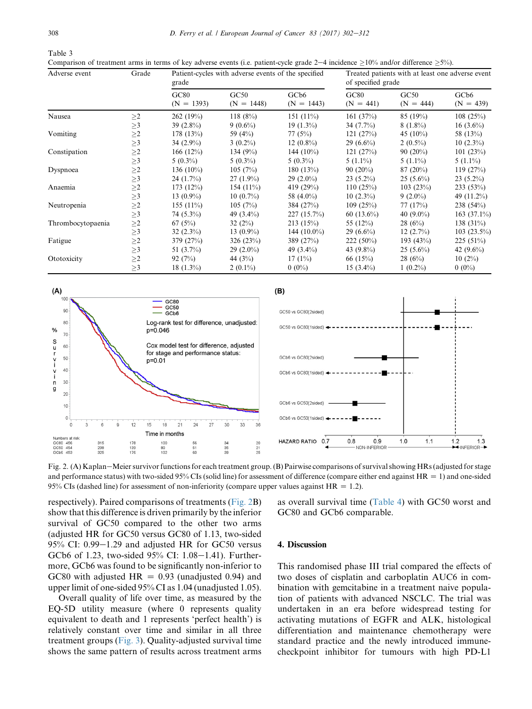<span id="page-6-0"></span>

| Γable ∶ |  |
|---------|--|
|         |  |

Comparison of treatment arms in terms of key adverse events (i.e. patient-cycle grade  $2-4$  incidence  $\geq 10\%$  and/or difference  $\geq 5\%$ ).

| Adverse event     | Grade    | Patient-cycles with adverse events of the specified<br>grade |                            |                                        | Treated patients with at least one adverse event<br>of specified grade |                     |                                 |
|-------------------|----------|--------------------------------------------------------------|----------------------------|----------------------------------------|------------------------------------------------------------------------|---------------------|---------------------------------|
|                   |          | GC80<br>$(N = 1393)$                                         | GC50<br>$(N -$<br>$= 1448$ | GC <sub>b6</sub><br>$(N -$<br>$= 1443$ | GC80<br>$(N = 441)$                                                    | GC50<br>$(N = 444)$ | GC <sub>b6</sub><br>$(N = 439)$ |
| Nausea            | $\geq$ 2 | 262(19%)                                                     | 118 $(8%)$                 | 151 $(11\%)$                           | 161 $(37%)$                                                            | 85 (19%)            | 108(25%)                        |
|                   | $\geq$ 3 | 39 $(2.8\%)$                                                 | $9(0.6\%)$                 | $19(1.3\%)$                            | 34 $(7.7\%)$                                                           | $8(1.8\%)$          | $16(3.6\%)$                     |
| Vomiting          | $\geq$ 2 | 178(13%)                                                     | 59 (4%)                    | 77(5%)                                 | 121(27%)                                                               | 45 $(10\%)$         | 58 (13%)                        |
|                   | >3       | 34 $(2.9\%)$                                                 | $3(0.2\%)$                 | $12(0.8\%)$                            | $29(6.6\%)$                                                            | $2(0.5\%)$          | $10(2.3\%)$                     |
| Constipation      | $\geq$ 2 | 166 $(12\%)$                                                 | 134 $(9%)$                 | 144 $(10\%)$                           | 121(27%)                                                               | $90(20\%)$          | 101(23%)                        |
|                   | $\geq$ 3 | $5(0.3\%)$                                                   | $5(0.3\%)$                 | $5(0.3\%)$                             | $5(1.1\%)$                                                             | $5(1.1\%)$          | $5(1.1\%)$                      |
| Dyspnoea          | $\geq$ 2 | 136 $(10\%)$                                                 | 105(7%)                    | 180 $(13\%)$                           | $90(20\%)$                                                             | $87(20\%)$          | 119(27%)                        |
|                   | $\geq$ 3 | $24(1.7\%)$                                                  | $27(1.9\%)$                | $29(2.0\%)$                            | $23(5.2\%)$                                                            | $25(5.6\%)$         | $23(5.2\%)$                     |
| Anaemia           | $\geq$ 2 | 173(12%)                                                     | 154 $(11\%)$               | 419 (29%)                              | 110(25%)                                                               | 103(23%)            | 233(53%)                        |
|                   | $\geq$ 3 | 13 $(0.9\%)$                                                 | $10(0.7\%)$                | 58 $(4.0\%)$                           | $10(2.3\%)$                                                            | $9(2.0\%)$          | 49 (11.2%)                      |
| Neutropenia       | $\geq$ 2 | 155 $(11\%)$                                                 | 105(7%)                    | 384 (27%)                              | 109(25%)                                                               | 77(17%)             | 238(54%)                        |
|                   | >3       | 74 (5.3%)                                                    | 49 $(3.4\%)$               | 227(15.7%)                             | 60 $(13.6\%)$                                                          | 40 $(9.0\%)$        | $163(37.1\%)$                   |
| Thrombocytopaenia | $\geq$ 2 | 67 $(5%)$                                                    | 32(2%)                     | 213(15%)                               | 55 (12%)                                                               | 28(6%)              | 138 (31%)                       |
|                   | $\geq$ 3 | $32(2.3\%)$                                                  | 13 $(0.9\%)$               | 144 $(10.0\%)$                         | $29(6.6\%)$                                                            | $12(2.7\%)$         | $103(23.5\%)$                   |
| Fatigue           | $\geq$ 2 | 379 (27%)                                                    | 326(23%)                   | 389 (27%)                              | $222(50\%)$                                                            | 193 (43%)           | $225(51\%)$                     |
|                   | $\geq$ 3 | 51 (3.7%)                                                    | $29(2.0\%)$                | 49 $(3.4\%)$                           | 43 $(9.8\%)$                                                           | $25(5.6\%)$         | 42 $(9.6\%)$                    |
| Ototoxicity       | $\geq$ 2 | 92(7%)                                                       | 44 $(3%)$                  | $17(1\%)$                              | 66 (15%)                                                               | 28(6%)              | 10(2%)                          |
|                   | >3       | $18(1.3\%)$                                                  | $2(0.1\%)$                 | $0(0\%)$                               | $15(3.4\%)$                                                            | $1(0.2\%)$          | $0(0\%)$                        |





Fig. 2. (A) Kaplan–Meier survivor functions for each treatment group. (B) Pairwise comparisons of survival showing HRs (adjusted for stage and performance status) with two-sided 95% CIs (solid line) for assessment of difference (compare either end against  $HR = 1$ ) and one-sided 95% CIs (dashed line) for assessment of non-inferiority (compare upper values against  $HR = 1.2$ ).

respectively). Paired comparisons of treatments (Fig. 2B) show that this difference is driven primarily by the inferior survival of GC50 compared to the other two arms (adjusted HR for GC50 versus GC80 of 1.13, two-sided  $95\%$  CI: 0.99–1.29 and adjusted HR for GC50 versus GCb6 of 1.23, two-sided  $95\%$  CI: 1.08–1.41). Furthermore, GCb6 was found to be significantly non-inferior to GC80 with adjusted  $HR = 0.93$  (unadjusted 0.94) and upper limit of one-sided 95% CI as 1.04 (unadjusted 1.05).

Overall quality of life over time, as measured by the EQ-5D utility measure (where 0 represents quality equivalent to death and 1 represents 'perfect health') is relatively constant over time and similar in all three treatment groups [\(Fig. 3\)](#page-7-0). Quality-adjusted survival time shows the same pattern of results across treatment arms as overall survival time [\(Table 4\)](#page-7-0) with GC50 worst and GC80 and GCb6 comparable.

#### 4. Discussion

This randomised phase III trial compared the effects of two doses of cisplatin and carboplatin AUC6 in combination with gemcitabine in a treatment naive population of patients with advanced NSCLC. The trial was undertaken in an era before widespread testing for activating mutations of EGFR and ALK, histological differentiation and maintenance chemotherapy were standard practice and the newly introduced immunecheckpoint inhibitor for tumours with high PD-L1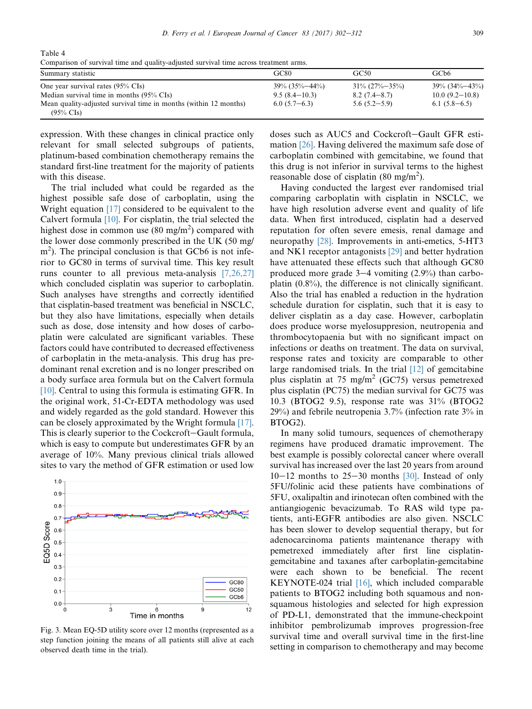<span id="page-7-0"></span>Table 4

Comparison of survival time and quality-adjusted survival time across treatment arms.

| Summary statistic                                                                        | GC80                   | GC50                 | GCb6               |
|------------------------------------------------------------------------------------------|------------------------|----------------------|--------------------|
| One year survival rates (95% CIs)                                                        | $39\%$ $(35\% - 44\%)$ | $31\% (27\% - 35\%)$ | $39\%$ (34\%-43\%) |
| Median survival time in months (95% CIs)                                                 | $9.5(8.4-10.3)$        | $8.2(7.4 - 8.7)$     | $10.0(9.2-10.8)$   |
| Mean quality-adjusted survival time in months (within 12 months)<br>$(95\% \text{ CIs})$ | $6.0(5.7-6.3)$         | $5.6(5.2 - 5.9)$     | $6.1(5.8-6.5)$     |

expression. With these changes in clinical practice only relevant for small selected subgroups of patients, platinum-based combination chemotherapy remains the standard first-line treatment for the majority of patients with this disease.

The trial included what could be regarded as the highest possible safe dose of carboplatin, using the Wright equation [\[17\]](#page-9-0) considered to be equivalent to the Calvert formula [\[10\]](#page-9-0). For cisplatin, the trial selected the highest dose in common use  $(80 \text{ mg/m}^2)$  compared with the lower dose commonly prescribed in the UK (50 mg/ m<sup>2</sup>). The principal conclusion is that GCb6 is not inferior to GC80 in terms of survival time. This key result runs counter to all previous meta-analysis [\[7,26,27\]](#page-9-0) which concluded cisplatin was superior to carboplatin. Such analyses have strengths and correctly identified that cisplatin-based treatment was beneficial in NSCLC, but they also have limitations, especially when details such as dose, dose intensity and how doses of carboplatin were calculated are significant variables. These factors could have contributed to decreased effectiveness of carboplatin in the meta-analysis. This drug has predominant renal excretion and is no longer prescribed on a body surface area formula but on the Calvert formula [\[10\].](#page-9-0) Central to using this formula is estimating GFR. In the original work, 51-Cr-EDTA methodology was used and widely regarded as the gold standard. However this can be closely approximated by the Wright formula [\[17\].](#page-9-0) This is clearly superior to the Cockcroft-Gault formula, which is easy to compute but underestimates GFR by an average of 10%. Many previous clinical trials allowed sites to vary the method of GFR estimation or used low



Fig. 3. Mean EQ-5D utility score over 12 months (represented as a step function joining the means of all patients still alive at each observed death time in the trial).

doses such as AUC5 and Cockcroft-Gault GFR estimation [\[26\].](#page-9-0) Having delivered the maximum safe dose of carboplatin combined with gemcitabine, we found that this drug is not inferior in survival terms to the highest reasonable dose of cisplatin (80 mg/m<sup>2</sup>).

Having conducted the largest ever randomised trial comparing carboplatin with cisplatin in NSCLC, we have high resolution adverse event and quality of life data. When first introduced, cisplatin had a deserved reputation for often severe emesis, renal damage and neuropathy [\[28\].](#page-10-0) Improvements in anti-emetics, 5-HT3 and NK1 receptor antagonists [\[29\]](#page-10-0) and better hydration have attenuated these effects such that although GC80 produced more grade  $3-4$  vomiting (2.9%) than carboplatin (0.8%), the difference is not clinically significant. Also the trial has enabled a reduction in the hydration schedule duration for cisplatin, such that it is easy to deliver cisplatin as a day case. However, carboplatin does produce worse myelosuppresion, neutropenia and thrombocytopaenia but with no significant impact on infections or deaths on treatment. The data on survival, response rates and toxicity are comparable to other large randomised trials. In the trial  $\left[12\right]$  of gemcitabine plus cisplatin at 75 mg/m<sup>2</sup> (GC75) versus pemetrexed plus cisplatin (PC75) the median survival for GC75 was 10.3 (BTOG2 9.5), response rate was 31% (BTOG2 29%) and febrile neutropenia 3.7% (infection rate 3% in BTOG2).

In many solid tumours, sequences of chemotherapy regimens have produced dramatic improvement. The best example is possibly colorectal cancer where overall survival has increased over the last 20 years from around  $10-12$  months to  $25-30$  months  $[30]$ . Instead of only 5FU/folinic acid these patients have combinations of 5FU, oxalipaltin and irinotecan often combined with the antiangiogenic bevacizumab. To RAS wild type patients, anti-EGFR antibodies are also given. NSCLC has been slower to develop sequential therapy, but for adenocarcinoma patients maintenance therapy with pemetrexed immediately after first line cisplatingemcitabine and taxanes after carboplatin-gemcitabine were each shown to be beneficial. The recent KEYNOTE-024 trial [\[16\]](#page-9-0), which included comparable patients to BTOG2 including both squamous and nonsquamous histologies and selected for high expression of PD-L1, demonstrated that the immune-checkpoint inhibitor pembrolizumab improves progression-free survival time and overall survival time in the first-line setting in comparison to chemotherapy and may become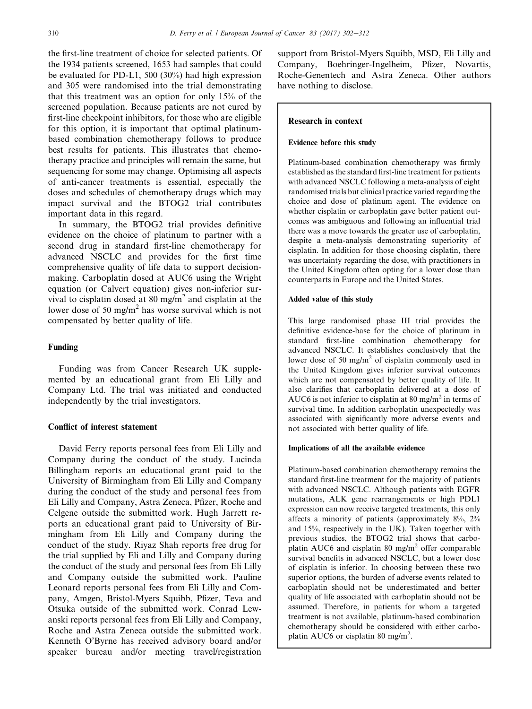the first-line treatment of choice for selected patients. Of the 1934 patients screened, 1653 had samples that could be evaluated for PD-L1, 500 (30%) had high expression and 305 were randomised into the trial demonstrating that this treatment was an option for only 15% of the screened population. Because patients are not cured by first-line checkpoint inhibitors, for those who are eligible for this option, it is important that optimal platinumbased combination chemotherapy follows to produce best results for patients. This illustrates that chemotherapy practice and principles will remain the same, but sequencing for some may change. Optimising all aspects of anti-cancer treatments is essential, especially the doses and schedules of chemotherapy drugs which may impact survival and the BTOG2 trial contributes important data in this regard.

In summary, the BTOG2 trial provides definitive evidence on the choice of platinum to partner with a second drug in standard first-line chemotherapy for advanced NSCLC and provides for the first time comprehensive quality of life data to support decisionmaking. Carboplatin dosed at AUC6 using the Wright equation (or Calvert equation) gives non-inferior survival to cisplatin dosed at 80 mg/m<sup>2</sup> and cisplatin at the lower dose of 50 mg/m<sup>2</sup> has worse survival which is not compensated by better quality of life.

# Funding

Funding was from Cancer Research UK supplemented by an educational grant from Eli Lilly and Company Ltd. The trial was initiated and conducted independently by the trial investigators.

## Conflict of interest statement

David Ferry reports personal fees from Eli Lilly and Company during the conduct of the study. Lucinda Billingham reports an educational grant paid to the University of Birmingham from Eli Lilly and Company during the conduct of the study and personal fees from Eli Lilly and Company, Astra Zeneca, Pfizer, Roche and Celgene outside the submitted work. Hugh Jarrett reports an educational grant paid to University of Birmingham from Eli Lilly and Company during the conduct of the study. Riyaz Shah reports free drug for the trial supplied by Eli and Lilly and Company during the conduct of the study and personal fees from Eli Lilly and Company outside the submitted work. Pauline Leonard reports personal fees from Eli Lilly and Company, Amgen, Bristol-Myers Squibb, Pfizer, Teva and Otsuka outside of the submitted work. Conrad Lewanski reports personal fees from Eli Lilly and Company, Roche and Astra Zeneca outside the submitted work. Kenneth O'Byrne has received advisory board and/or speaker bureau and/or meeting travel/registration support from Bristol-Myers Squibb, MSD, Eli Lilly and Company, Boehringer-Ingelheim, Pfizer, Novartis, Roche-Genentech and Astra Zeneca. Other authors have nothing to disclose.

# Research in context

## Evidence before this study

Platinum-based combination chemotherapy was firmly established as the standard first-line treatment for patients with advanced NSCLC following a meta-analysis of eight randomised trials but clinical practice varied regarding the choice and dose of platinum agent. The evidence on whether cisplatin or carboplatin gave better patient outcomes was ambiguous and following an influential trial there was a move towards the greater use of carboplatin, despite a meta-analysis demonstrating superiority of cisplatin. In addition for those choosing cisplatin, there was uncertainty regarding the dose, with practitioners in the United Kingdom often opting for a lower dose than counterparts in Europe and the United States.

### Added value of this study

This large randomised phase III trial provides the definitive evidence-base for the choice of platinum in standard first-line combination chemotherapy for advanced NSCLC. It establishes conclusively that the lower dose of 50 mg/m<sup>2</sup> of cisplatin commonly used in the United Kingdom gives inferior survival outcomes which are not compensated by better quality of life. It also clarifies that carboplatin delivered at a dose of AUC6 is not inferior to cisplatin at 80 mg/m<sup>2</sup> in terms of survival time. In addition carboplatin unexpectedly was associated with significantly more adverse events and not associated with better quality of life.

#### Implications of all the available evidence

Platinum-based combination chemotherapy remains the standard first-line treatment for the majority of patients with advanced NSCLC. Although patients with EGFR mutations, ALK gene rearrangements or high PDL1 expression can now receive targeted treatments, this only affects a minority of patients (approximately 8%, 2% and 15%, respectively in the UK). Taken together with previous studies, the BTOG2 trial shows that carboplatin AUC6 and cisplatin 80 mg/m<sup>2</sup> offer comparable survival benefits in advanced NSCLC, but a lower dose of cisplatin is inferior. In choosing between these two superior options, the burden of adverse events related to carboplatin should not be underestimated and better quality of life associated with carboplatin should not be assumed. Therefore, in patients for whom a targeted treatment is not available, platinum-based combination chemotherapy should be considered with either carboplatin AUC6 or cisplatin 80 mg/m<sup>2</sup>.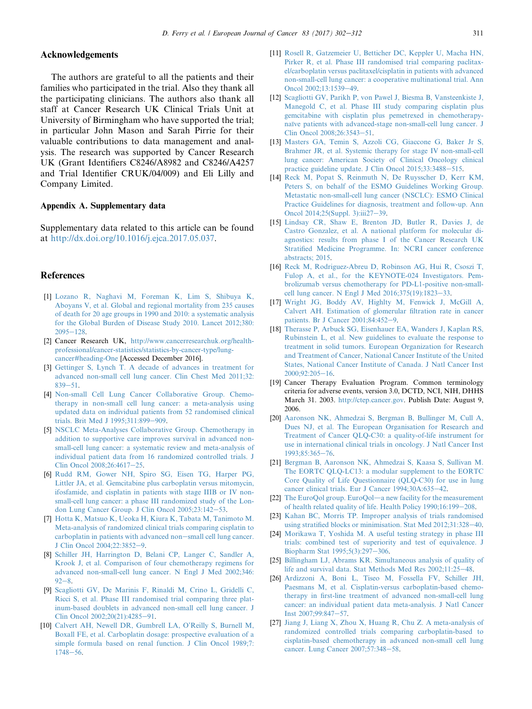# <span id="page-9-0"></span>Acknowledgements

The authors are grateful to all the patients and their families who participated in the trial. Also they thank all the participating clinicians. The authors also thank all staff at Cancer Research UK Clinical Trials Unit at University of Birmingham who have supported the trial; in particular John Mason and Sarah Pirrie for their valuable contributions to data management and analysis. The research was supported by Cancer Research UK (Grant Identifiers C8246/A8982 and C8246/A4257 and Trial Identifier CRUK/04/009) and Eli Lilly and Company Limited.

### Appendix A. Supplementary data

Supplementary data related to this article can be found at <http://dx.doi.org/10.1016/j.ejca.2017.05.037>.

## **References**

- [1] [Lozano R, Naghavi M, Foreman K, Lim S, Shibuya K,](http://refhub.elsevier.com/S0959-8049(17)31001-8/sref1) [Aboyans V, et al. Global and regional mortality from 235 causes](http://refhub.elsevier.com/S0959-8049(17)31001-8/sref1) [of death for 20 age groups in 1990 and 2010: a systematic analysis](http://refhub.elsevier.com/S0959-8049(17)31001-8/sref1) [for the Global Burden of Disease Study 2010. Lancet 2012;380:](http://refhub.elsevier.com/S0959-8049(17)31001-8/sref1)  $2095 - 128$  $2095 - 128$  $2095 - 128$
- [2] Cancer Research UK, [http://www.cancerresearchuk.org/health](http://www.cancerresearchuk.org/health-professional/cancer-statistics/statistics-by-cancer-type/lung-cancer#heading-One)[professional/cancer-statistics/statistics-by-cancer-type/lung](http://www.cancerresearchuk.org/health-professional/cancer-statistics/statistics-by-cancer-type/lung-cancer#heading-One)[cancer#heading-One](http://www.cancerresearchuk.org/health-professional/cancer-statistics/statistics-by-cancer-type/lung-cancer#heading-One) [Accessed December 2016].
- [3] [Gettinger S, Lynch T. A decade of advances in treatment for](http://refhub.elsevier.com/S0959-8049(17)31001-8/sref3) [advanced non-small cell lung cancer. Clin Chest Med 2011;32:](http://refhub.elsevier.com/S0959-8049(17)31001-8/sref3)  $839 - 51$  $839 - 51$  $839 - 51$
- [4] [Non-small Cell Lung Cancer Collaborative Group. Chemo](http://refhub.elsevier.com/S0959-8049(17)31001-8/sref4)[therapy in non-small cell lung cancer: a meta-analysis using](http://refhub.elsevier.com/S0959-8049(17)31001-8/sref4) [updated data on individual patients from 52 randomised clinical](http://refhub.elsevier.com/S0959-8049(17)31001-8/sref4) [trials. Brit Med J 1995;311:899](http://refhub.elsevier.com/S0959-8049(17)31001-8/sref4)-[909.](http://refhub.elsevier.com/S0959-8049(17)31001-8/sref4)
- [5] [NSCLC Meta-Analyses Collaborative Group. Chemotherapy in](http://refhub.elsevier.com/S0959-8049(17)31001-8/sref5) [addition to supportive care improves survival in advanced non](http://refhub.elsevier.com/S0959-8049(17)31001-8/sref5)[small-cell lung cancer: a systematic review and meta-analysis of](http://refhub.elsevier.com/S0959-8049(17)31001-8/sref5) [individual patient data from 16 randomized controlled trials. J](http://refhub.elsevier.com/S0959-8049(17)31001-8/sref5) [Clin Oncol 2008;26:4617](http://refhub.elsevier.com/S0959-8049(17)31001-8/sref5)-[25.](http://refhub.elsevier.com/S0959-8049(17)31001-8/sref5)
- [6] [Rudd RM, Gower NH, Spiro SG, Eisen TG, Harper PG,](http://refhub.elsevier.com/S0959-8049(17)31001-8/sref6) [Littler JA, et al. Gemcitabine plus carboplatin versus mitomycin,](http://refhub.elsevier.com/S0959-8049(17)31001-8/sref6) [ifosfamide, and cisplatin in patients with stage IIIB or IV non](http://refhub.elsevier.com/S0959-8049(17)31001-8/sref6)[small-cell lung cancer: a phase III randomized study of the Lon](http://refhub.elsevier.com/S0959-8049(17)31001-8/sref6)[don Lung Cancer Group. J Clin Oncol 2005;23:142](http://refhub.elsevier.com/S0959-8049(17)31001-8/sref6)-[53.](http://refhub.elsevier.com/S0959-8049(17)31001-8/sref6)
- [7] [Hotta K, Matsuo K, Ueoka H, Kiura K, Tabata M, Tanimoto M.](http://refhub.elsevier.com/S0959-8049(17)31001-8/sref7) [Meta-analysis of randomized clinical trials comparing cisplatin to](http://refhub.elsevier.com/S0959-8049(17)31001-8/sref7) [carboplatin in patients with advanced non](http://refhub.elsevier.com/S0959-8049(17)31001-8/sref7)-[small cell lung cancer.](http://refhub.elsevier.com/S0959-8049(17)31001-8/sref7) [J Clin Oncol 2004;22:3852](http://refhub.elsevier.com/S0959-8049(17)31001-8/sref7)-[9.](http://refhub.elsevier.com/S0959-8049(17)31001-8/sref7)
- [8] [Schiller JH, Harrington D, Belani CP, Langer C, Sandler A,](http://refhub.elsevier.com/S0959-8049(17)31001-8/sref8) [Krook J, et al. Comparison of four chemotherapy regimens for](http://refhub.elsevier.com/S0959-8049(17)31001-8/sref8) [advanced non-small-cell lung cancer. N Engl J Med 2002;346:](http://refhub.elsevier.com/S0959-8049(17)31001-8/sref8)  $92 - 8.$  $92 - 8.$  $92 - 8.$  $92 - 8.$
- [9] [Scagliotti GV, De Marinis F, Rinaldi M, Crino L, Gridelli C,](http://refhub.elsevier.com/S0959-8049(17)31001-8/sref9) [Ricci S, et al. Phase III randomised trial comparing three plat](http://refhub.elsevier.com/S0959-8049(17)31001-8/sref9)[inum-based doublets in advanced non-small cell lung cancer. J](http://refhub.elsevier.com/S0959-8049(17)31001-8/sref9) [Clin Oncol 2002;20\(21\):4285](http://refhub.elsevier.com/S0959-8049(17)31001-8/sref9)-[91](http://refhub.elsevier.com/S0959-8049(17)31001-8/sref9).
- [10] [Calvert AH, Newell DR, Gumbrell LA, O'Reilly S, Burnell M,](http://refhub.elsevier.com/S0959-8049(17)31001-8/sref10) [Boxall FE, et al. Carboplatin dosage: prospective evaluation of a](http://refhub.elsevier.com/S0959-8049(17)31001-8/sref10) [simple formula based on renal function. J Clin Oncol 1989;7:](http://refhub.elsevier.com/S0959-8049(17)31001-8/sref10)  $1748 - 56$  $1748 - 56$  $1748 - 56$
- [11] [Rosell R, Gatzemeier U, Betticher DC, Keppler U, Macha HN,](http://refhub.elsevier.com/S0959-8049(17)31001-8/sref11) [Pirker R, et al. Phase III randomised trial comparing paclitax](http://refhub.elsevier.com/S0959-8049(17)31001-8/sref11)[el/carboplatin versus paclitaxel/cisplatin in patients with advanced](http://refhub.elsevier.com/S0959-8049(17)31001-8/sref11) [non-small-cell lung cancer: a cooperative multinational trial. Ann](http://refhub.elsevier.com/S0959-8049(17)31001-8/sref11)  $O<sub>ncol</sub> 2002:13:1539-49$
- [12] [Scagliotti GV, Parikh P, von Pawel J, Biesma B, Vansteenkiste J,](http://refhub.elsevier.com/S0959-8049(17)31001-8/sref12) [Manegold C, et al. Phase III study comparing cisplatin plus](http://refhub.elsevier.com/S0959-8049(17)31001-8/sref12) [gemcitabine with cisplatin plus pemetrexed in chemotherapy](http://refhub.elsevier.com/S0959-8049(17)31001-8/sref12)naïve patients with advanced-stage non-small-cell lung cancer. J  $Clin$  Oncol  $2008:26:3543-51$ .
- [13] [Masters GA, Temin S, Azzoli CG, Giaccone G, Baker Jr S,](http://refhub.elsevier.com/S0959-8049(17)31001-8/sref13) [Brahmer JR, et al. Systemic therapy for stage IV non-small-cell](http://refhub.elsevier.com/S0959-8049(17)31001-8/sref13) [lung cancer: American Society of Clinical Oncology clinical](http://refhub.elsevier.com/S0959-8049(17)31001-8/sref13) [practice guideline update. J Clin Oncol 2015;33:3488](http://refhub.elsevier.com/S0959-8049(17)31001-8/sref13)-[515](http://refhub.elsevier.com/S0959-8049(17)31001-8/sref13).
- [14] [Reck M, Popat S, Reinmuth N, De Ruysscher D, Kerr KM,](http://refhub.elsevier.com/S0959-8049(17)31001-8/sref14) [Peters S, on behalf of the ESMO Guidelines Working Group.](http://refhub.elsevier.com/S0959-8049(17)31001-8/sref14) [Metastatic non-small-cell lung cancer \(NSCLC\): ESMO Clinical](http://refhub.elsevier.com/S0959-8049(17)31001-8/sref14) [Practice Guidelines for diagnosis, treatment and follow-up. Ann](http://refhub.elsevier.com/S0959-8049(17)31001-8/sref14) Oncol  $2014;25(Suppl. 3):iii27-39$  $2014;25(Suppl. 3):iii27-39$ .
- [15] [Lindsay CR, Shaw E, Brenton JD, Butler R, Davies J, de](http://refhub.elsevier.com/S0959-8049(17)31001-8/sref15) [Castro Gonzalez, et al. A national platform for molecular di](http://refhub.elsevier.com/S0959-8049(17)31001-8/sref15)[agnostics: results from phase I of the Cancer Research UK](http://refhub.elsevier.com/S0959-8049(17)31001-8/sref15) [Stratified Medicine Programme. In: NCRI cancer conference](http://refhub.elsevier.com/S0959-8049(17)31001-8/sref15) [abstracts; 2015.](http://refhub.elsevier.com/S0959-8049(17)31001-8/sref15)
- [16] [Reck M, Rodriguez-Abreu D, Robinson AG, Hui R, Csoszi T,](http://refhub.elsevier.com/S0959-8049(17)31001-8/sref16) [Fulop A, et al., for the KEYNOTE-024 Investigators. Pem](http://refhub.elsevier.com/S0959-8049(17)31001-8/sref16)[brolizumab versus chemotherapy for PD-L1-positive non-small](http://refhub.elsevier.com/S0959-8049(17)31001-8/sref16)cell lung cancer. N Engl J Med  $2016;375(19):1823-33$  $2016;375(19):1823-33$ .
- [17] [Wright JG, Boddy AV, Highlty M, Fenwick J, McGill A,](http://refhub.elsevier.com/S0959-8049(17)31001-8/sref17) [Calvert AH. Estimation of glomerular filtration rate in cancer](http://refhub.elsevier.com/S0959-8049(17)31001-8/sref17) [patients. Br J Cancer 2001;84:452](http://refhub.elsevier.com/S0959-8049(17)31001-8/sref17)-[9](http://refhub.elsevier.com/S0959-8049(17)31001-8/sref17).
- [18] [Therasse P, Arbuck SG, Eisenhauer EA, Wanders J, Kaplan RS,](http://refhub.elsevier.com/S0959-8049(17)31001-8/sref18) [Rubinstein L, et al. New guidelines to evaluate the response to](http://refhub.elsevier.com/S0959-8049(17)31001-8/sref18) [treatment in solid tumors. European Organization for Research](http://refhub.elsevier.com/S0959-8049(17)31001-8/sref18) [and Treatment of Cancer, National Cancer Institute of the United](http://refhub.elsevier.com/S0959-8049(17)31001-8/sref18) [States, National Cancer Institute of Canada. J Natl Cancer Inst](http://refhub.elsevier.com/S0959-8049(17)31001-8/sref18)  $2000;92:205-16.$  $2000;92:205-16.$  $2000;92:205-16.$
- [19] Cancer Therapy Evaluation Program. Common terminology criteria for adverse events, version 3.0, DCTD, NCI, NIH, DHHS March 31. 2003. <http://ctep.cancer.gov>. Publish Date: August 9, 2006.
- [20] [Aaronson NK, Ahmedzai S, Bergman B, Bullinger M, Cull A,](http://refhub.elsevier.com/S0959-8049(17)31001-8/sref20) [Dues NJ, et al. The European Organisation for Research and](http://refhub.elsevier.com/S0959-8049(17)31001-8/sref20) [Treatment of Cancer QLQ-C30: a quality-of-life instrument for](http://refhub.elsevier.com/S0959-8049(17)31001-8/sref20) [use in international clinical trials in oncology. J Natl Cancer Inst](http://refhub.elsevier.com/S0959-8049(17)31001-8/sref20) 1993:85:365-[76.](http://refhub.elsevier.com/S0959-8049(17)31001-8/sref20)
- [21] [Bergman B, Aaronson NK, Ahmedzai S, Kaasa S, Sullivan M.](http://refhub.elsevier.com/S0959-8049(17)31001-8/sref21) [The EORTC QLQ-LC13: a modular supplement to the EORTC](http://refhub.elsevier.com/S0959-8049(17)31001-8/sref21) [Core Quality of Life Questionnaire \(QLQ-C30\) for use in lung](http://refhub.elsevier.com/S0959-8049(17)31001-8/sref21) [cancer clinical trials. Eur J Cancer 1994;30A:635](http://refhub.elsevier.com/S0959-8049(17)31001-8/sref21)-[42.](http://refhub.elsevier.com/S0959-8049(17)31001-8/sref21)
- [22] [The EuroQol group. EuroQol](http://refhub.elsevier.com/S0959-8049(17)31001-8/sref22)—[a new facility for the measurement](http://refhub.elsevier.com/S0959-8049(17)31001-8/sref22) [of health related quality of life. Health Policy 1990;16:199](http://refhub.elsevier.com/S0959-8049(17)31001-8/sref22)-[208.](http://refhub.elsevier.com/S0959-8049(17)31001-8/sref22)
- [23] [Kahan BC, Morris TP. Improper analysis of trials randomised](http://refhub.elsevier.com/S0959-8049(17)31001-8/sref23) using stratified blocks or minimisation. Stat Med  $2012;31:328-40$  $2012;31:328-40$ .
- [24] [Morikawa T, Yoshida M. A useful testing strategy in phase III](http://refhub.elsevier.com/S0959-8049(17)31001-8/sref24) [trials: combined test of superiority and test of equivalence. J](http://refhub.elsevier.com/S0959-8049(17)31001-8/sref24) [Biopharm Stat 1995;5\(3\):297](http://refhub.elsevier.com/S0959-8049(17)31001-8/sref24)-[306](http://refhub.elsevier.com/S0959-8049(17)31001-8/sref24).
- [25] [Billingham LJ, Abrams KR. Simultaneous analysis of quality of](http://refhub.elsevier.com/S0959-8049(17)31001-8/sref25) [life and survival data. Stat Methods Med Res 2002;11:25](http://refhub.elsevier.com/S0959-8049(17)31001-8/sref25)-[48](http://refhub.elsevier.com/S0959-8049(17)31001-8/sref25).
- [26] [Ardizzoni A, Boni L, Tiseo M, Fossella FV, Schiller JH,](http://refhub.elsevier.com/S0959-8049(17)31001-8/sref26) [Paesmans M, et al. Cisplatin-versus carboplatin-based chemo](http://refhub.elsevier.com/S0959-8049(17)31001-8/sref26)[therapy in first-line treatment of advanced non-small-cell lung](http://refhub.elsevier.com/S0959-8049(17)31001-8/sref26) [cancer: an individual patient data meta-analysis. J Natl Cancer](http://refhub.elsevier.com/S0959-8049(17)31001-8/sref26) [Inst 2007;99:847](http://refhub.elsevier.com/S0959-8049(17)31001-8/sref26)-[57](http://refhub.elsevier.com/S0959-8049(17)31001-8/sref26).
- [27] [Jiang J, Liang X, Zhou X, Huang R, Chu Z. A meta-analysis of](http://refhub.elsevier.com/S0959-8049(17)31001-8/sref27) [randomized controlled trials comparing carboplatin-based to](http://refhub.elsevier.com/S0959-8049(17)31001-8/sref27) [cisplatin-based chemotherapy in advanced non-small cell lung](http://refhub.elsevier.com/S0959-8049(17)31001-8/sref27) [cancer. Lung Cancer 2007;57:348](http://refhub.elsevier.com/S0959-8049(17)31001-8/sref27)-[58.](http://refhub.elsevier.com/S0959-8049(17)31001-8/sref27)